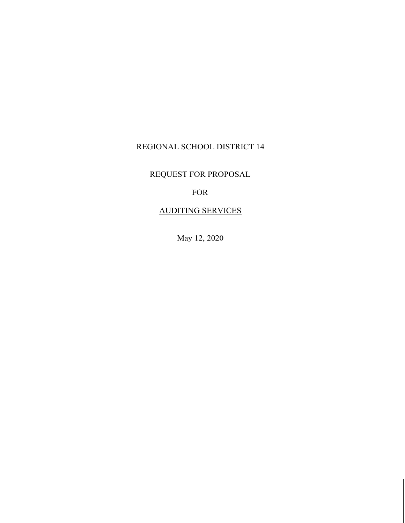# REGIONAL SCHOOL DISTRICT 14

REQUEST FOR PROPOSAL

FOR

## AUDITING SERVICES

May 12, 2020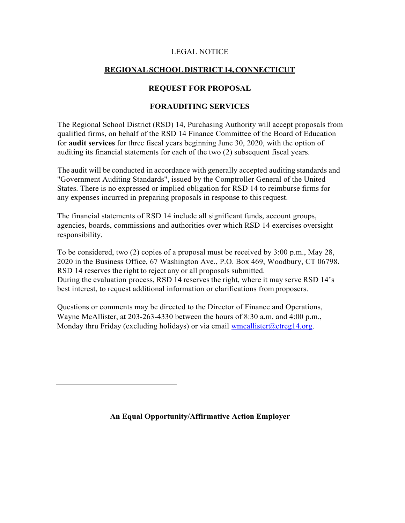## LEGAL NOTICE

## **REGIONALSCHOOLDISTRICT 14,CONNECTICUT**

## **REQUEST FOR PROPOSAL**

## **FORAUDITING SERVICES**

The Regional School District (RSD) 14, Purchasing Authority will accept proposals from qualified firms, on behalf of the RSD 14 Finance Committee of the Board of Education for **audit services** for three fiscal years beginning June 30, 2020, with the option of auditing its financial statements for each of the two (2) subsequent fiscal years.

The audit will be conducted in accordance with generally accepted auditing standards and "Government Auditing Standards", issued by the Comptroller General of the United States. There is no expressed or implied obligation for RSD 14 to reimburse firms for any expenses incurred in preparing proposals in response to this request.

The financial statements of RSD 14 include all significant funds, account groups, agencies, boards, commissions and authorities over which RSD 14 exercises oversight responsibility.

To be considered, two (2) copies of a proposal must be received by 3:00 p.m., May 28, 2020 in the Business Office, 67 Washington Ave., P.O. Box 469, Woodbury, CT 06798. RSD 14 reserves the right to reject any or all proposals submitted. During the evaluation process, RSD 14 reserves the right, where it may serve RSD 14's best interest, to request additional information or clarifications from proposers.

Questions or comments may be directed to the Director of Finance and Operations, Wayne McAllister, at 203-263-4330 between the hours of 8:30 a.m. and 4:00 p.m., Monday thru Friday (excluding holidays) or via email wmcallister  $@ctreg14.org$ .

**An Equal Opportunity/Affirmative Action Employer**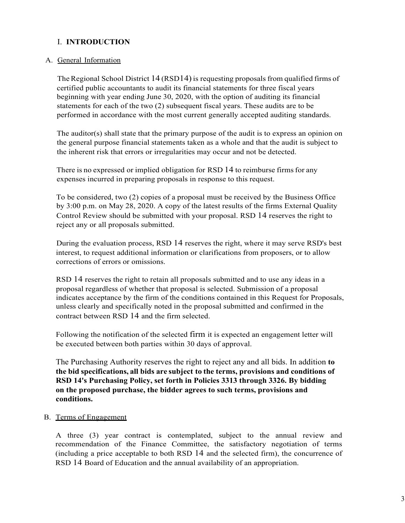## I. **INTRODUCTION**

## A. General Information

The Regional School District 14 (RSD14) is requesting proposals from qualified firms of certified public accountants to audit its financial statements for three fiscal years beginning with year ending June 30, 2020, with the option of auditing its financial statements for each of the two (2) subsequent fiscal years. These audits are to be performed in accordance with the most current generally accepted auditing standards.

The auditor(s) shall state that the primary purpose of the audit is to express an opinion on the general purpose financial statements taken as a whole and that the audit is subject to the inherent risk that errors or irregularities may occur and not be detected.

There is no expressed or implied obligation for RSD 14 to reimburse firms for any expenses incurred in preparing proposals in response to this request.

To be considered, two (2) copies of a proposal must be received by the Business Office by 3:00 p.m. on May 28, 2020. A copy of the latest results of the firms External Quality Control Review should be submitted with your proposal. RSD 14 reserves the right to reject any or all proposals submitted.

During the evaluation process, RSD 14 reserves the right, where it may serve RSD's best interest, to request additional information or clarifications from proposers, or to allow corrections of errors or omissions.

RSD 14 reserves the right to retain all proposals submitted and to use any ideas in a proposal regardless of whether that proposal is selected. Submission of a proposal indicates acceptance by the firm of the conditions contained in this Request for Proposals, unless clearly and specifically noted in the proposal submitted and confirmed in the contract between RSD 14 and the firm selected.

Following the notification of the selected firm it is expected an engagement letter will be executed between both parties within 30 days of approval.

The Purchasing Authority reserves the right to reject any and all bids. In addition **to the bid specifications, all bids are subject to the terms, provisions and conditions of RSD 14's Purchasing Policy, set forth in Policies 3313 through 3326. By bidding on the proposed purchase, the bidder agrees to such terms, provisions and conditions.**

B. Terms of Engagement

A three (3) year contract is contemplated, subject to the annual review and recommendation of the Finance Committee, the satisfactory negotiation of terms (including a price acceptable to both RSD 14 and the selected firm), the concurrence of RSD 14 Board of Education and the annual availability of an appropriation.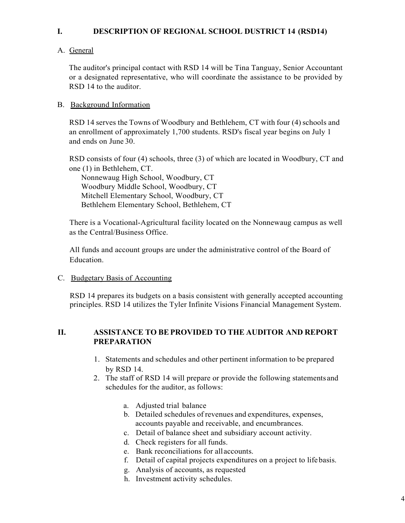## **I. DESCRIPTION OF REGIONAL SCHOOL DUSTRICT 14 (RSD14)**

## A. General

The auditor's principal contact with RSD 14 will be Tina Tanguay, Senior Accountant or a designated representative, who will coordinate the assistance to be provided by RSD 14 to the auditor.

## B. Background Information

RSD 14 serves the Towns of Woodbury and Bethlehem, CT with four (4) schools and an enrollment of approximately 1,700 students. RSD's fiscal year begins on July 1 and ends on June 30.

RSD consists of four (4) schools, three (3) of which are located in Woodbury, CT and one (1) in Bethlehem, CT.

Nonnewaug High School, Woodbury, CT Woodbury Middle School, Woodbury, CT Mitchell Elementary School, Woodbury, CT Bethlehem Elementary School, Bethlehem, CT

There is a Vocational-Agricultural facility located on the Nonnewaug campus as well as the Central/Business Office.

All funds and account groups are under the administrative control of the Board of Education.

C. Budgetary Basis of Accounting

RSD 14 prepares its budgets on a basis consistent with generally accepted accounting principles. RSD 14 utilizes the Tyler Infinite Visions Financial Management System.

## **II. ASSISTANCE TO BEPROVIDED TO THE AUDITOR AND REPORT PREPARATION**

- 1. Statements and schedules and other pertinent information to be prepared by RSD 14.
- 2. The staff of RSD 14 will prepare or provide the following statements and schedules for the auditor, as follows:
	- a. Adjusted trial balance
	- b. Detailed schedules of revenues and expenditures, expenses, accounts payable and receivable, and encumbrances.
	- c. Detail of balance sheet and subsidiary account activity.
	- d. Check registers for all funds.
	- e. Bank reconciliations for allaccounts.
	- f. Detail of capital projects expenditures on a project to lifebasis.
	- g. Analysis of accounts, as requested
	- h. Investment activity schedules.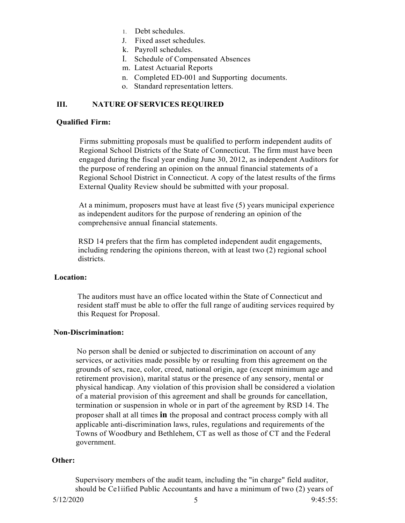- 1. Debt schedules.
- J. Fixed asset schedules.
- k. Payroll schedules.
- I. Schedule of Compensated Absences
- m. Latest Actuarial Reports
- n. Completed ED-001 and Supporting documents.
- o. Standard representation letters.

### **III. NATURE OFSERVICES REQUIRED**

#### **Qualified Firm:**

Firms submitting proposals must be qualified to perform independent audits of Regional School Districts of the State of Connecticut. The firm must have been engaged during the fiscal year ending June 30, 2012, as independent Auditors for the purpose of rendering an opinion on the annual financial statements of a Regional School District in Connecticut. A copy of the latest results of the firms External Quality Review should be submitted with your proposal.

At a minimum, proposers must have at least five (5) years municipal experience as independent auditors for the purpose of rendering an opinion of the comprehensive annual financial statements.

RSD 14 prefers that the firm has completed independent audit engagements, including rendering the opinions thereon, with at least two (2) regional school districts.

#### **Location:**

The auditors must have an office located within the State of Connecticut and resident staff must be able to offer the full range of auditing services required by this Request for Proposal.

#### **Non-Discrimination:**

No person shall be denied or subjected to discrimination on account of any services, or activities made possible by or resulting from this agreement on the grounds of sex, race, color, creed, national origin, age (except minimum age and retirement provision), marital status or the presence of any sensory, mental or physical handicap. Any violation of this provision shall be considered a violation of a material provision of this agreement and shall be grounds for cancellation, termination or suspension in whole or in part of the agreement by RSD 14. The proposer shall at all times **in** the proposal and contract process comply with all applicable anti-discrimination laws, rules, regulations and requirements of the Towns of Woodbury and Bethlehem, CT as well as those of CT and the Federal government.

#### **Other:**

Supervisory members of the audit team, including the "in charge" field auditor, should be Ce1iified Public Accountants and have a minimum of two (2) years of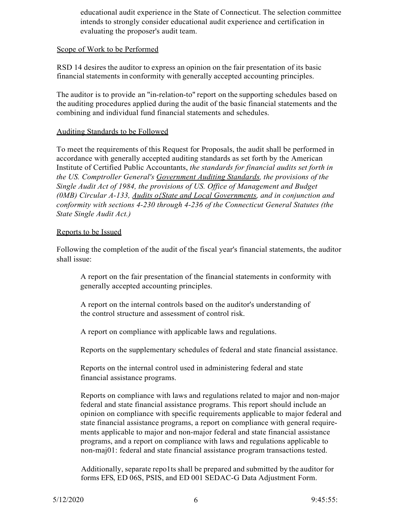educational audit experience in the State of Connecticut. The selection committee intends to strongly consider educational audit experience and certification in evaluating the proposer's audit team.

#### Scope of Work to be Performed

RSD 14 desires the auditor to express an opinion on the fair presentation of its basic financial statements in conformity with generally accepted accounting principles.

The auditor is to provide an "in-relation-to" report on the supporting schedules based on the auditing procedures applied during the audit of the basic financial statements and the combining and individual fund financial statements and schedules.

## Auditing Standards to be Followed

To meet the requirements of this Request for Proposals, the audit shall be performed in accordance with generally accepted auditing standards as set forth by the American Institute of Certified Public Accountants, *the standards for financial audits set forth in the US. Comptroller General's Government Auditing Standards, the provisions of the Single Audit Act of 1984, the provisions of US. Office of Management and Budget (0MB) Circular A-133, Audits o{State and Local Governments, and in conjunction and conformity with sections 4-230 through 4-236 of the Connecticut General Statutes (the State Single Audit Act.)*

#### Reports to be Issued

Following the completion of the audit of the fiscal year's financial statements, the auditor shall issue:

A report on the fair presentation of the financial statements in conformity with generally accepted accounting principles.

A report on the internal controls based on the auditor's understanding of the control structure and assessment of control risk.

A report on compliance with applicable laws and regulations.

Reports on the supplementary schedules of federal and state financial assistance.

Reports on the internal control used in administering federal and state financial assistance programs.

Reports on compliance with laws and regulations related to major and non-major federal and state financial assistance programs. This report should include an opinion on compliance with specific requirements applicable to major federal and state financial assistance programs, a report on compliance with general requirements applicable to major and non-major federal and state financial assistance programs, and a report on compliance with laws and regulations applicable to non-maj01: federal and state financial assistance program transactions tested.

Additionally, separate repo1ts shall be prepared and submitted by the auditor for forms EFS, ED 06S, PSIS, and ED 001 SEDAC-G Data Adjustment Form.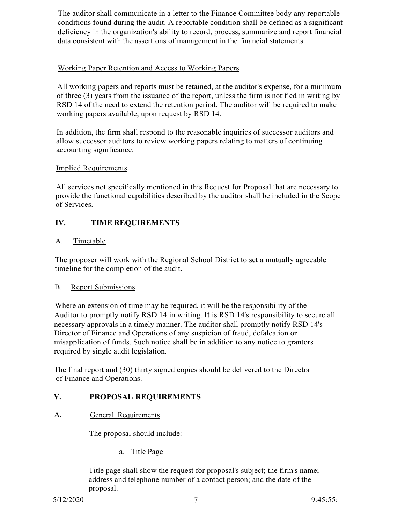The auditor shall communicate in a letter to the Finance Committee body any reportable conditions found during the audit. A reportable condition shall be defined as a significant deficiency in the organization's ability to record, process, summarize and report financial data consistent with the assertions of management in the financial statements.

## Working Paper Retention and Access to Working Papers

All working papers and reports must be retained, at the auditor's expense, for a minimum of three (3) years from the issuance of the report, unless the firm is notified in writing by RSD 14 of the need to extend the retention period. The auditor will be required to make working papers available, upon request by RSD 14.

In addition, the firm shall respond to the reasonable inquiries of successor auditors and allow successor auditors to review working papers relating to matters of continuing accounting significance.

## Implied Requirements

All services not specifically mentioned in this Request for Proposal that are necessary to provide the functional capabilities described by the auditor shall be included in the Scope of Services.

## **IV. TIME REQUIREMENTS**

## A. Timetable

The proposer will work with the Regional School District to set a mutually agreeable timeline for the completion of the audit.

## B. Report Submissions

Where an extension of time may be required, it will be the responsibility of the Auditor to promptly notify RSD 14 in writing. It is RSD 14's responsibility to secure all necessary approvals in a timely manner. The auditor shall promptly notify RSD 14's Director of Finance and Operations of any suspicion of fraud, defalcation or misapplication of funds. Such notice shall be in addition to any notice to grantors required by single audit legislation.

The final report and (30) thirty signed copies should be delivered to the Director of Finance and Operations.

## **V. PROPOSAL REQUIREMENTS**

## A. General Requirements

The proposal should include:

a. Title Page

Title page shall show the request for proposal's subject; the firm's name; address and telephone number of a contact person; and the date of the proposal.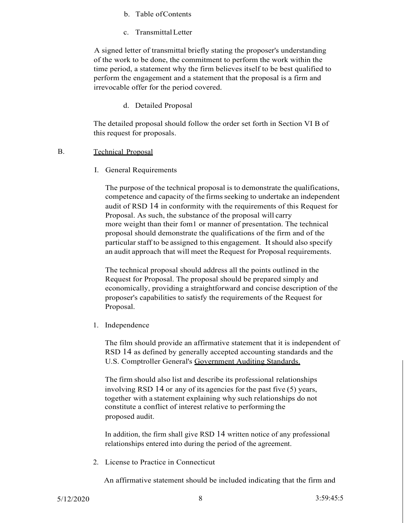- b. Table ofContents
- c. TransmittalLetter

A signed letter of transmittal briefly stating the proposer's understanding of the work to be done, the commitment to perform the work within the time period, a statement why the firm believes itself to be best qualified to perform the engagement and a statement that the proposal is a firm and irrevocable offer for the period covered.

d. Detailed Proposal

The detailed proposal should follow the order set forth in Section VI B of this request for proposals.

#### B. Technical Proposal

I. General Requirements

The purpose of the technical proposal is to demonstrate the qualifications, competence and capacity of the firmsseeking to undertake an independent audit of RSD 14 in conformity with the requirements of this Request for Proposal. As such, the substance of the proposal will carry more weight than their fom1 or manner of presentation. The technical proposal should demonstrate the qualifications of the firm and of the particular staff to be assigned to this engagement. Itshould also specify an audit approach that will meet the Request for Proposal requirements.

The technical proposal should address all the points outlined in the Request for Proposal. The proposal should be prepared simply and economically, providing a straightforward and concise description of the proposer's capabilities to satisfy the requirements of the Request for Proposal.

1. Independence

The film should provide an affirmative statement that it is independent of RSD 14 as defined by generally accepted accounting standards and the U.S. Comptroller General's Government Auditing Standards.

The firm should also list and describe its professional relationships involving RSD 14 or any of its agencies for the past five (5) years, together with a statement explaining why such relationships do not constitute a conflict of interest relative to performing the proposed audit.

In addition, the firm shall give RSD 14 written notice of any professional relationships entered into during the period of the agreement.

2. License to Practice in Connecticut

An affirmative statement should be included indicating that the firm and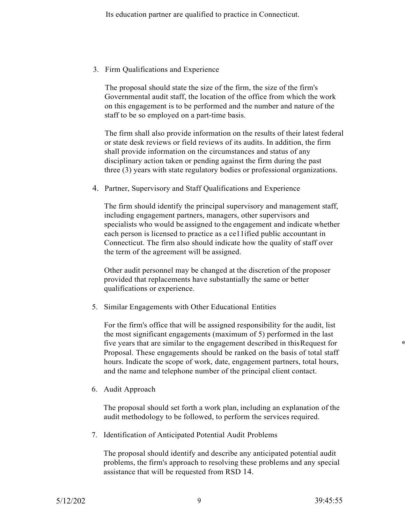Its education partner are qualified to practice in Connecticut.

3. Firm Qualifications and Experience

The proposal should state the size of the firm, the size of the firm's Governmental audit staff, the location of the office from which the work on this engagement is to be performed and the number and nature of the staff to be so employed on a part-time basis.

The firm shall also provide information on the results of their latest federal or state desk reviews or field reviews of its audits. In addition, the firm shall provide information on the circumstances and status of any disciplinary action taken or pending against the firm during the past three (3) years with state regulatory bodies or professional organizations.

4. Partner, Supervisory and Staff Qualifications and Experience

The firm should identify the principal supervisory and management staff, including engagement partners, managers, other supervisors and specialists who would be assigned to the engagement and indicate whether each person is licensed to practice as a ce11ified public accountant in Connecticut. The firm also should indicate how the quality of staff over the term of the agreement will be assigned.

Other audit personnel may be changed at the discretion of the proposer provided that replacements have substantially the same or better qualifications or experience.

5. Similar Engagements with Other Educational Entities

For the firm's office that will be assigned responsibility for the audit, list the most significant engagements (maximum of 5) performed in the last five years that are similar to the engagement described in thisRequest for <sup>e</sup> Proposal. These engagements should be ranked on the basis of total staff hours. Indicate the scope of work, date, engagement partners, total hours, and the name and telephone number of the principal client contact.

6. Audit Approach

The proposal should set forth a work plan, including an explanation of the audit methodology to be followed, to perform the services required.

7. Identification of Anticipated Potential Audit Problems

The proposal should identify and describe any anticipated potential audit problems, the firm's approach to resolving these problems and any special assistance that will be requested from RSD 14.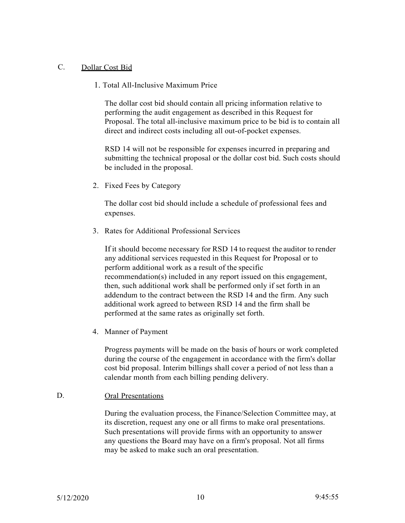## C. Dollar Cost Bid

1. Total All-Inclusive Maximum Price

The dollar cost bid should contain all pricing information relative to performing the audit engagement as described in this Request for Proposal. The total all-inclusive maximum price to be bid is to contain all direct and indirect costs including all out-of-pocket expenses.

RSD 14 will not be responsible for expenses incurred in preparing and submitting the technical proposal or the dollar cost bid. Such costs should be included in the proposal.

2. Fixed Fees by Category

The dollar cost bid should include a schedule of professional fees and expenses.

3. Rates for Additional Professional Services

If it should become necessary for RSD 14 to request the auditor to render any additional services requested in this Request for Proposal or to perform additional work as a result of the specific recommendation(s) included in any report issued on this engagement, then, such additional work shall be performed only if set forth in an addendum to the contract between the RSD 14 and the firm. Any such additional work agreed to between RSD 14 and the firm shall be performed at the same rates as originally set forth.

4. Manner of Payment

Progress payments will be made on the basis of hours or work completed during the course of the engagement in accordance with the firm's dollar cost bid proposal. Interim billings shall cover a period of not less than a calendar month from each billing pending delivery.

## D. Oral Presentations

During the evaluation process, the Finance/Selection Committee may, at its discretion, request any one or all firms to make oral presentations. Such presentations will provide firms with an opportunity to answer any questions the Board may have on a firm's proposal. Not all firms may be asked to make such an oral presentation.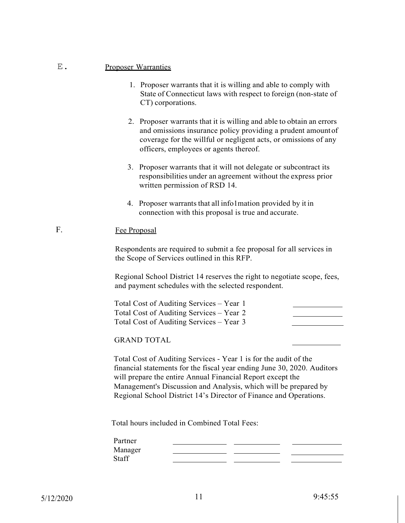#### E. Proposer Warranties

- 1. Proposer warrants that it is willing and able to comply with State of Connecticut laws with respect to foreign (non-state of CT) corporations.
- 2. Proposer warrants that it is willing and able to obtain an errors and omissions insurance policy providing a prudent amountof coverage for the willful or negligent acts, or omissions of any officers, employees or agents thereof.
- 3. Proposer warrants that it will not delegate or subcontract its responsibilities under an agreement without the express prior written permission of RSD 14.
- 4. Proposer warrants that all info1mation provided by it in connection with this proposal is true and accurate.

## F. **Fee Proposal**

Respondents are required to submit a fee proposal for all services in the Scope of Services outlined in this RFP.

Regional School District 14 reserves the right to negotiate scope, fees, and payment schedules with the selected respondent.

| Total Cost of Auditing Services – Year 1 |  |
|------------------------------------------|--|
| Total Cost of Auditing Services – Year 2 |  |
| Total Cost of Auditing Services – Year 3 |  |
|                                          |  |

GRAND TOTAL

Total Cost of Auditing Services - Year 1 is for the audit of the financial statements for the fiscal year ending June 30, 2020. Auditors will prepare the entire Annual Financial Report except the Management's Discussion and Analysis, which will be prepared by Regional School District 14's Director of Finance and Operations.

Total hours included in Combined Total Fees:

| Partner |  |  |
|---------|--|--|
| Manager |  |  |
| Staff   |  |  |